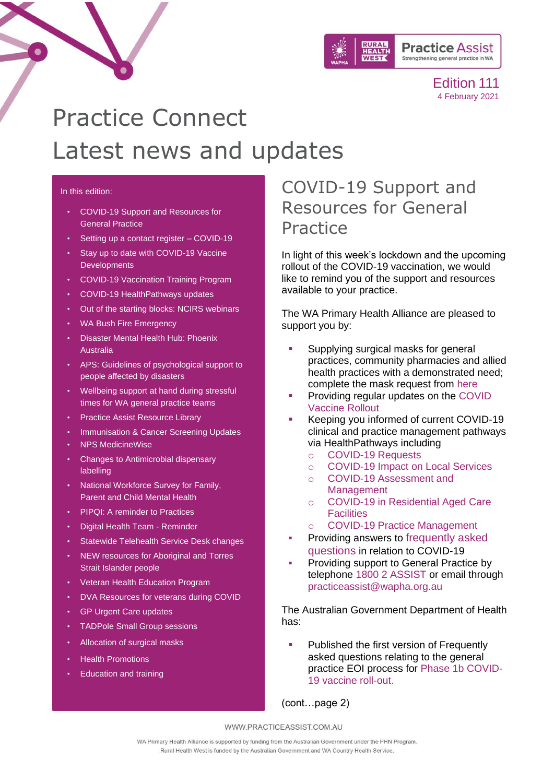

# Practice Connect Latest news and updates

#### In this edition:

- [COVID-19 Support and Resources for](#page-0-0)  [General Practice](#page-0-0)
- [Setting up a contact register –](#page-1-0) COVID-19
- [Stay up to date with COVID-19 Vaccine](#page-1-1)  **[Developments](#page-1-1)**
- [COVID-19 Vaccination Training Program](#page-2-0)
- [COVID-19 HealthPathways updates](#page-2-1)
- [Out of the starting blocks: NCIRS webinars](#page-2-2)
- [WA Bush Fire Emergency](#page-4-0)
- [Disaster Mental Health Hub: Phoenix](#page-3-0)  [Australia](#page-3-0)
- [APS: Guidelines of psychological support to](#page-5-0)  [people affected by disasters](#page-5-0)
- [Wellbeing support at hand during stressful](#page-6-0)  [times for WA general practice teams](#page-6-0)
- [Practice Assist Resource Library](#page-7-0)
- [Immunisation & Cancer Screening Updates](#page-8-0)
- [NPS MedicineWise](#page-11-0)
- [Changes to Antimicrobial dispensary](#page-11-1)  [labelling](#page-11-1)
- [National Workforce Survey for Family,](#page-11-2)  [Parent and Child Mental Health](#page-11-2)
- [PIPQI: A reminder to Practices](#page-12-0)
- [Digital Health Team -](#page-12-1) Reminder
- [Statewide Telehealth Service Desk changes](#page-12-2)
- [NEW resources for Aboriginal and Torres](#page-12-3)  [Strait Islander people](#page-12-3)
- [Veteran Health Education Program](#page-13-0)
- [DVA Resources for veterans during COVID](#page-13-1)
- [GP Urgent Care updates](#page-14-0)
- [TADPole Small Group sessions](#page-14-1)
- [Allocation of surgical masks](#page-3-1)
- [Health Promotions](#page-15-0)
- [Education and training](#page-16-0)

# <span id="page-0-0"></span>COVID-19 Support and Resources for General Practice

In light of this week's lockdown and the upcoming rollout of the COVID-19 vaccination, we would like to remind you of the support and resources available to your practice.

The WA Primary Health Alliance are pleased to support you by:

- Supplying surgical masks for general practices, community pharmacies and allied health practices with a demonstrated need; complete the mask request from [here](https://www.practiceassist.com.au/Coronavirus-COVID19/Mask-distribution)
- Providing regular updates on the COVID [Vaccine Rollout](https://www.practiceassist.com.au/Coronavirus-COVID19/Coronavirus-COVID19-Vaccine-Rollout-Information)
- Keeping you informed of current COVID-19 clinical and practice management pathways via HealthPathways including
	- o [COVID-19 Requests](https://wa.communityhealthpathways.org/722376.htm)
	- o [COVID-19 Impact on Local Services](https://wa.communityhealthpathways.org/723635.htm)
	- o [COVID-19 Assessment and](https://wa.communityhealthpathways.org/709101.htm)  [Management](https://wa.communityhealthpathways.org/709101.htm)
	- o [COVID-19 in Residential Aged Care](https://wa.communityhealthpathways.org/732314.htm)  **[Facilities](https://wa.communityhealthpathways.org/732314.htm)**
	- o [COVID-19 Practice Management](https://wa.communityhealthpathways.org/722358.htm)
- Providing answers to frequently asked [questions](https://www.practiceassist.com.au/Coronavirus-COVID19/COVID-19-General-FAQs) in relation to COVID-19
- Providing support to General Practice by telephone 1800 2 ASSIST or email through practiceassist@wapha.org.au

The Australian Government Department of Health has:

Published the first version of Frequently asked questions relating to the general practice EOI process for [Phase 1b COVID-](https://www.health.gov.au/resources/publications/phase-1b-covid-19-vaccine-rollout-general-practice-eoi-process-frequently-asked-questions-version-2)[19 vaccine roll-out.](https://www.health.gov.au/resources/publications/phase-1b-covid-19-vaccine-rollout-general-practice-eoi-process-frequently-asked-questions-version-2)

(cont…page 2)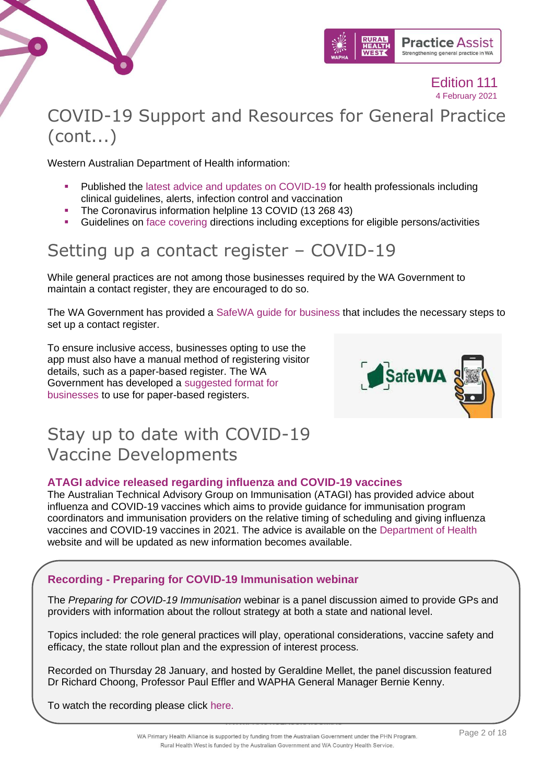



# COVID-19 Support and Resources for General Practice (cont...)

Western Australian Department of Health information:

- Published the [latest advice and updates](https://ww2.health.wa.gov.au/Articles/A_E/Coronavirus/COVID19-information-for-health-professionals) on COVID-19 for health professionals including clinical guidelines, alerts, infection control and vaccination
- The Coronavirus information helpline 13 COVID (13 268 43)
- Guidelines on [face covering](https://www.wa.gov.au/government/publications/face-covering-directions) directions including exceptions for eligible persons/activities

# <span id="page-1-0"></span>Setting up a contact register – COVID-19

While general practices are not among those businesses required by the WA Government to maintain a contact register, they are encouraged to do so.

The WA Government has provided a [SafeWA guide for business](https://linkprotect.cudasvc.com/url?a=https%3a%2f%2fwapha.us11.list-manage.com%2ftrack%2fclick%3fu%3dc973db7b85e56f4c3d0eaacee%26id%3d4306eddb53%26e%3df34f3bfedc&c=E,1,wlZcIroaX3saqlpPAB4I0e4G1G8EOaKjDOXkFBFCXnsD846y6bR6HHGQ3WXZ1LzQcRWOXCiIr4Rw944rATjswZ8HcCqcVWC-s-UW5YExVRJ8rjCKgA,,&typo=1) that includes the necessary steps to set up a contact register.

To ensure inclusive access, businesses opting to use the app must also have a manual method of registering visitor details, such as a paper-based register. The WA Government has developed a [suggested format for](https://linkprotect.cudasvc.com/url?a=https%3a%2f%2fwapha.us11.list-manage.com%2ftrack%2fclick%3fu%3dc973db7b85e56f4c3d0eaacee%26id%3d0d53d4a75c%26e%3df34f3bfedc&c=E,1,WoYDRtImgnSgb0iiuI2ARe1edw6D4wZZPjV8bY4yfxOQP_uSKq4vA0HbfA4FZqR9S4KJb06Txb1HV0uAcfdpA_aZp4xoKlZW-6oSPB1_RhoLbA,,&typo=1)  [businesses](https://linkprotect.cudasvc.com/url?a=https%3a%2f%2fwapha.us11.list-manage.com%2ftrack%2fclick%3fu%3dc973db7b85e56f4c3d0eaacee%26id%3d0d53d4a75c%26e%3df34f3bfedc&c=E,1,WoYDRtImgnSgb0iiuI2ARe1edw6D4wZZPjV8bY4yfxOQP_uSKq4vA0HbfA4FZqR9S4KJb06Txb1HV0uAcfdpA_aZp4xoKlZW-6oSPB1_RhoLbA,,&typo=1) to use for paper-based registers.



# <span id="page-1-1"></span>Stay up to date with COVID-19 Vaccine Developments

### **ATAGI advice released regarding influenza and COVID-19 vaccines**

The Australian Technical Advisory Group on Immunisation (ATAGI) has provided advice about influenza and COVID-19 vaccines which aims to provide guidance for immunisation program coordinators and immunisation providers on the relative timing of scheduling and giving influenza vaccines and COVID-19 vaccines in 2021. The advice is available on the [Department of Health](https://www.health.gov.au/resources/publications/atagi-advice-on-influenza-and-covid-19-vaccines) website and will be updated as new information becomes available.

### **Recording - Preparing for COVID-19 Immunisation webinar**

The *Preparing for COVID-19 Immunisation* webinar is a panel discussion aimed to provide GPs and providers with information about the rollout strategy at both a state and national level.

Topics included: the role general practices will play, operational considerations, vaccine safety and efficacy, the state rollout plan and the expression of interest process.

Recorded on Thursday 28 January, and hosted by Geraldine Mellet, the panel discussion featured Dr Richard Choong, Professor Paul Effler and WAPHA General Manager Bernie Kenny.

To watch the recording please click [here.](https://www.youtube.com/watch?app=desktop&v=OS4u4wKpuc4&feature=youtu.be)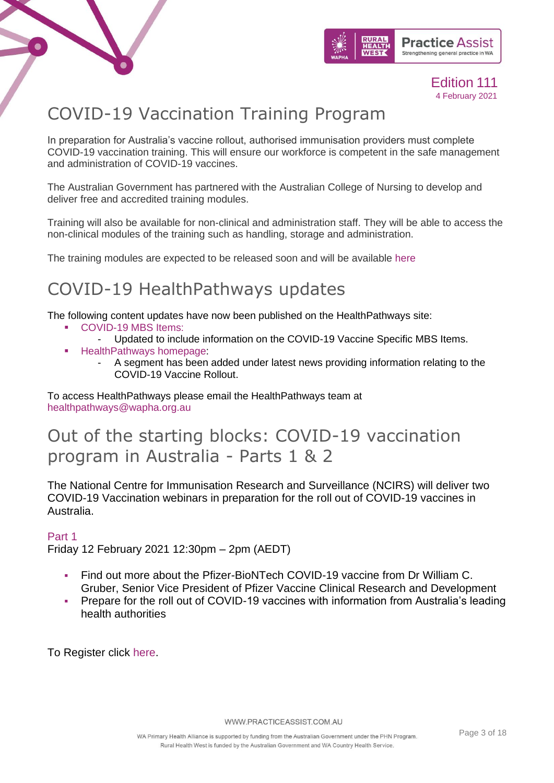



# <span id="page-2-0"></span>COVID-19 Vaccination Training Program

In preparation for Australia's vaccine rollout, authorised immunisation providers must complete COVID-19 vaccination training. This will ensure our workforce is competent in the safe management and administration of COVID-19 vaccines.

The Australian Government has partnered with the Australian College of Nursing to develop and deliver free and accredited training modules.

Training will also be available for non-clinical and administration staff. They will be able to access the non-clinical modules of the training such as handling, storage and administration.

The training modules are expected to be released soon and will be available [here](https://www.health.gov.au/initiatives-and-programs/covid-19-vaccines/covid-19-vaccination-training-program)

# <span id="page-2-1"></span>COVID-19 HealthPathways updates

The following content updates have now been published on the HealthPathways site:

- [COVID-19 MBS Items:](https://wa.communityhealthpathways.org/751253.htm)
	- Updated to include information on the COVID-19 Vaccine Specific MBS Items.
- **[HealthPathways homepage:](https://wa.communityhealthpathways.org/)** 
	- A segment has been added under latest news providing information relating to the COVID-19 Vaccine Rollout.

To access HealthPathways please email the HealthPathways team at [healthpathways@wapha.org.au](mailto:healthpathways@wapha.org.au)

# <span id="page-2-2"></span>Out of the starting blocks: COVID-19 vaccination program in Australia - Parts 1 & 2

The National Centre for Immunisation Research and Surveillance (NCIRS) will deliver two COVID-19 Vaccination webinars in preparation for the roll out of COVID-19 vaccines in Australia.

### Part 1

Friday 12 February 2021 12:30pm – 2pm (AEDT)

- Find out more about the Pfizer-BioNTech COVID-19 vaccine from Dr William C. Gruber, Senior Vice President of Pfizer Vaccine Clinical Research and Development
- Prepare for the roll out of COVID-19 vaccines with information from Australia's leading health authorities

To Register click [here.](https://us02web.zoom.us/webinar/register/WN_Vq3NjodmS12toshiPyF7ZA)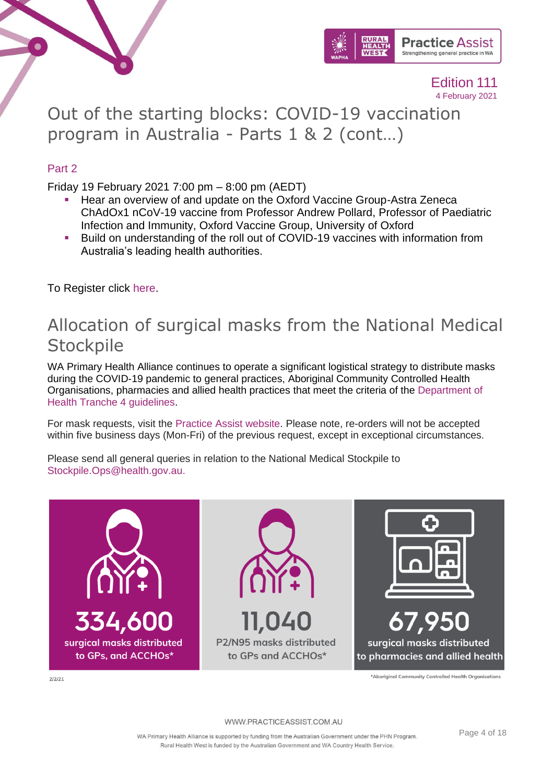



Out of the starting blocks: COVID-19 vaccination program in Australia - Parts 1 & 2 (cont…)

### Part 2

Friday 19 February 2021 7:00 pm – 8:00 pm (AEDT)

- Hear an overview of and update on the Oxford Vaccine Group-Astra Zeneca ChAdOx1 nCoV-19 vaccine from Professor Andrew Pollard, Professor of Paediatric Infection and Immunity, Oxford Vaccine Group, University of Oxford
- Build on understanding of the roll out of COVID-19 vaccines with information from Australia's leading health authorities.

<span id="page-3-1"></span>To Register click [here.](https://us02web.zoom.us/webinar/register/WN_u2gL37NsQnujP4S3FWr0cg)

### Allocation of surgical masks from the National Medical **Stockpile**

WA Primary Health Alliance continues to operate a significant logistical strategy to distribute masks during the COVID-19 pandemic to general practices, Aboriginal Community Controlled Health Organisations, pharmacies and allied health practices that meet the criteria of the [Department of](https://www.health.gov.au/resources/publications/distribution-of-ppe-through-phns-tranche-4-surgical-masks-and-p2n95-respirators-for-general-practice-community-pharmacy-and-allied-health)  [Health Tranche 4 guidelines.](https://www.health.gov.au/resources/publications/distribution-of-ppe-through-phns-tranche-4-surgical-masks-and-p2n95-respirators-for-general-practice-community-pharmacy-and-allied-health)

For mask requests, visit the [Practice Assist website.](https://wapha.us11.list-manage.com/track/click?u=c973db7b85e56f4c3d0eaacee&id=7864a3aad1&e=f34f3bfedc) Please note, re-orders will not be accepted within five business days (Mon-Fri) of the previous request, except in exceptional circumstances.

Please send all general queries in relation to the National Medical Stockpile to [Stockpile.Ops@health.gov.au.](mailto:Stockpile.Ops@health.gov.au)

<span id="page-3-0"></span>

\*Aboriginal Community Controlled Health Organisations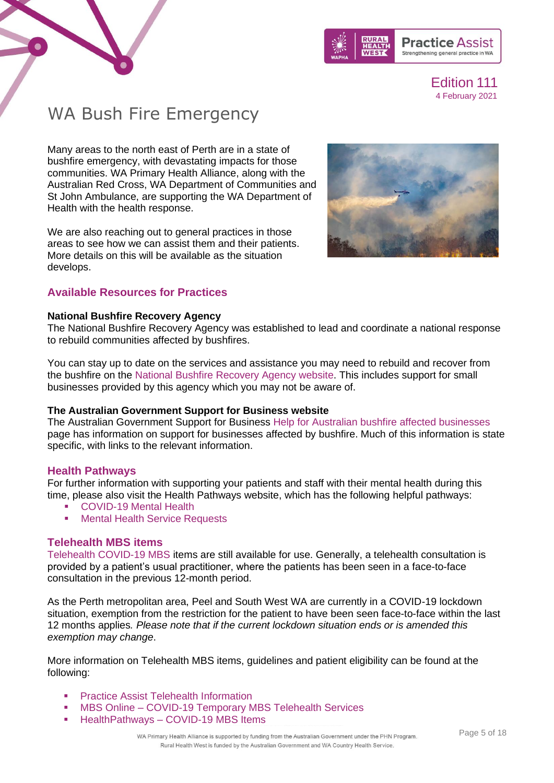



# <span id="page-4-0"></span>WA Bush Fire Emergency

Many areas to the north east of Perth are in a state of bushfire emergency, with devastating impacts for those communities. WA Primary Health Alliance, along with the Australian Red Cross, WA Department of Communities and St John Ambulance, are supporting the WA Department of Health with the health response.

We are also reaching out to general practices in those areas to see how we can assist them and their patients. More details on this will be available as the situation develops.



### **Available Resources for Practices**

#### **National Bushfire Recovery Agency**

The National Bushfire Recovery Agency was established to lead and coordinate a national response to rebuild communities affected by bushfires.

You can stay up to date on the services and assistance you may need to rebuild and recover from the bushfire on the [National Bushfire Recovery Agency website.](https://www.bushfirerecovery.gov.au/) This includes support for small businesses provided by this agency which you may not be aware of.

### **The Australian Government Support for Business website**

The Australian Government Support for Business [Help for Australian bushfire affected businesses](https://business.gov.au/risk-management/emergency-management/help-for-australian-bushfire-affected-businesses) page has information on support for businesses affected by bushfire. Much of this information is state specific, with links to the relevant information.

### **Health Pathways**

For further information with supporting your patients and staff with their mental health during this time, please also visit the Health Pathways website, which has the following helpful pathways:

- [COVID-19 Mental Health](https://wa.communityhealthpathways.org/740566.htm)
- [Mental Health Service Requests](https://wa.communityhealthpathways.org/62063.htm)

### **Telehealth MBS items**

[Telehealth COVID-19 MBS](http://www.mbsonline.gov.au/internet/mbsonline/publishing.nsf/Content/Factsheet-TempBB) items are still available for use. Generally, a telehealth consultation is provided by a patient's usual practitioner, where the patients has been seen in a face-to-face consultation in the previous 12-month period.

As the Perth metropolitan area, Peel and South West WA are currently in a COVID-19 lockdown situation, exemption from the restriction for the patient to have been seen face-to-face within the last 12 months applies*. Please note that if the current lockdown situation ends or is amended this exemption may change*.

More information on Telehealth MBS items, guidelines and patient eligibility can be found at the following:

- **[Practice Assist Telehealth Information](https://www.practiceassist.com.au/Coronavirus-COVID19/COVID-19-Telehealth-Information)**
- MBS Online [COVID-19 Temporary MBS Telehealth Services](http://www.mbsonline.gov.au/internet/mbsonline/publishing.nsf/Content/Factsheet-TempBB)
- HealthPathways [COVID-19 MBS Items](https://wa.communityhealthpathways.org/751253.htm)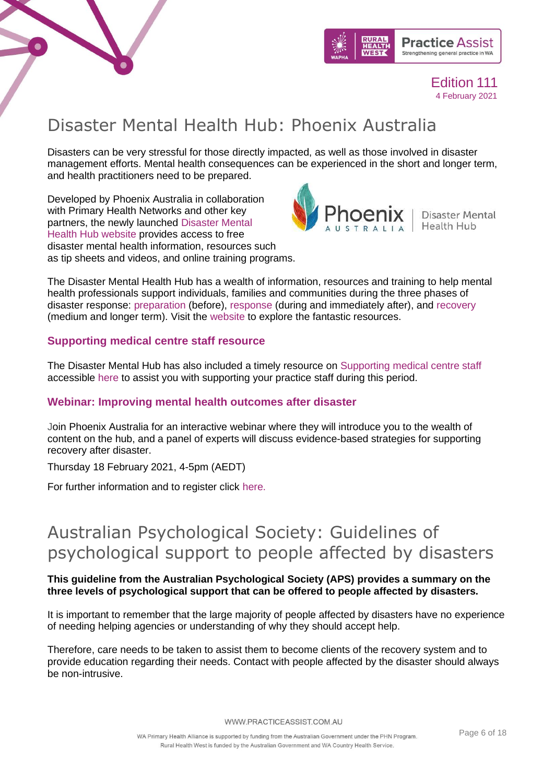



# Disaster Mental Health Hub: Phoenix Australia

Disasters can be very stressful for those directly impacted, as well as those involved in disaster management efforts. Mental health consequences can be experienced in the short and longer term, and health practitioners need to be prepared.

Developed by Phoenix Australia in collaboration with Primary Health Networks and other key partners, the newly launched [Disaster Mental](https://www.phoenixaustralia.org/disaster-hub)  [Health Hub website](https://www.phoenixaustralia.org/disaster-hub) provides access to free disaster mental health information, resources such as tip sheets and videos, and online training programs.



The Disaster Mental Health Hub has a wealth of information, resources and training to help mental health professionals support individuals, families and communities during the three phases of disaster response: [preparation](https://www.phoenixaustralia.org/disaster-hub/prepare/) (before), [response](https://www.phoenixaustralia.org/disaster-hub/respond/) (during and immediately after), and [recovery](https://www.phoenixaustralia.org/disaster-hub/recover/) (medium and longer term). Visit the [website](https://www.phoenixaustralia.org/disaster-hub/) to explore the fantastic resources.

### **Supporting medical centre staff resource**

The Disaster Mental Hub has also included a timely resource on [Supporting medical centre staff](https://www.practiceassist.com.au/PracticeAssist/media/Practice-Connect/Primary-care-Tips-for-supporting-medical-centre-staff.pdf) accessible [here](https://www.practiceassist.com.au/PracticeAssist/media/Practice-Connect/Primary-care-Tips-for-supporting-medical-centre-staff.pdf) to assist you with supporting your practice staff during this period.

### **Webinar: Improving mental health outcomes after disaster**

Join Phoenix Australia for an interactive webinar where they will introduce you to the wealth of content on the hub, and a panel of experts will discuss evidence-based strategies for supporting recovery after disaster.

Thursday 18 February 2021, 4-5pm (AEDT)

For further information and to register click [here.](https://events.humanitix.com/improving-mental-health-outcomes-after-disaster)

# <span id="page-5-0"></span>Australian Psychological Society: Guidelines of psychological support to people affected by disasters

### **This guideline from the Australian Psychological Society (APS) provides a summary on the three levels of psychological support that can be offered to people affected by disasters.**

It is important to remember that the large majority of people affected by disasters have no experience of needing helping agencies or understanding of why they should accept help.

Therefore, care needs to be taken to assist them to become clients of the recovery system and to provide education regarding their needs. Contact with people affected by the disaster should always be non-intrusive.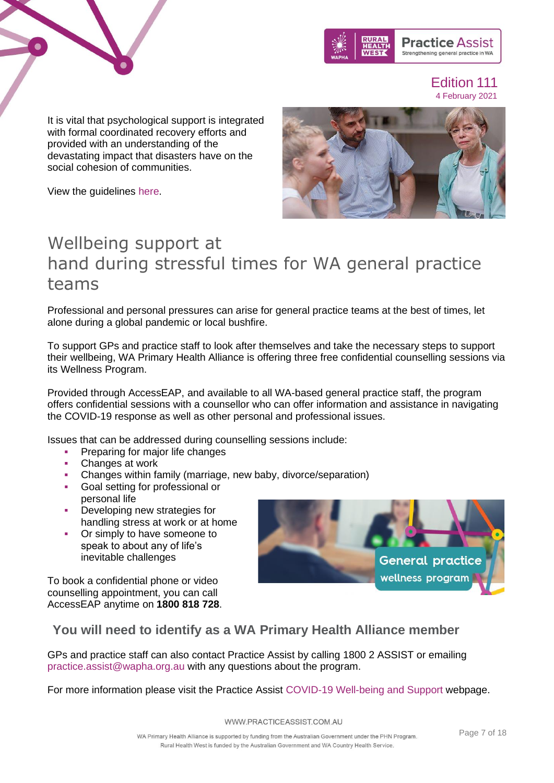



It is vital that psychological support is integrated with formal coordinated recovery efforts and provided with an understanding of the devastating impact that disasters have on the social cohesion of communities.





### <span id="page-6-0"></span>teams

Professional and personal pressures can arise for general practice teams at the best of times, let alone during a global pandemic or local bushfire.

To support GPs and practice staff to look after themselves and take the necessary steps to support their wellbeing, WA Primary Health Alliance is offering three free confidential counselling sessions via its Wellness Program.

Provided through AccessEAP, and available to all WA-based general practice staff, the program offers confidential sessions with a counsellor who can offer information and assistance in navigating the COVID-19 response as well as other personal and professional issues.

Issues that can be addressed during counselling sessions include:

- **Preparing for major life changes**
- Changes at work
- Changes within family (marriage, new baby, divorce/separation)
- Goal setting for professional or personal life
- **•** Developing new strategies for handling stress at work or at home
- Or simply to have someone to speak to about any of life's inevitable challenges

To book a confidential phone or video counselling appointment, you can call AccessEAP anytime on **1800 818 728**.



### **You will need to identify as a WA Primary Health Alliance member**

GPs and practice staff can also contact Practice Assist by calling 1800 2 ASSIST or emailing [practice.assist@wapha.org.au](mailto:practice.assist@wapha.org.au) with any questions about the program.

For more information please visit the Practice Assist [COVID-19 Well-being and Support](https://www.practiceassist.com.au/Coronavirus-COVID19/Well-being-and-Support) webpage.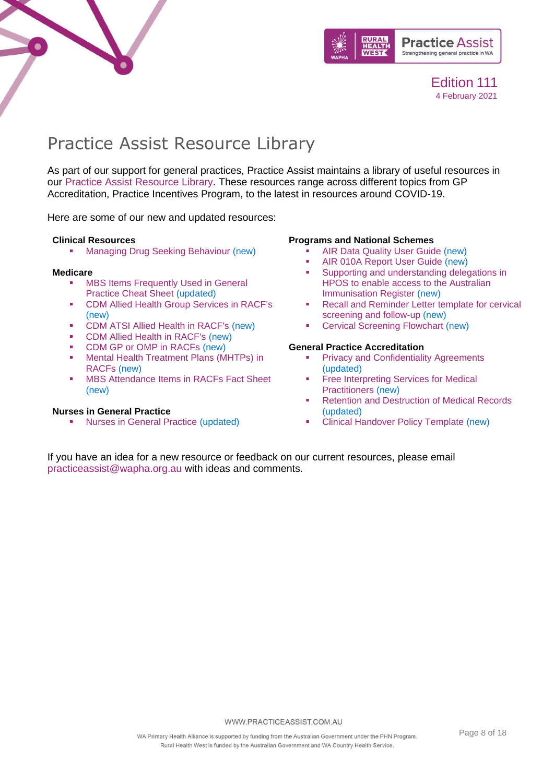



# <span id="page-7-0"></span>Practice Assist Resource Library

As part of our support for general practices, Practice Assist maintains a library of useful resources in our [Practice Assist Resource Library.](https://www.practiceassist.com.au/Resource-Library) These resources range across different topics from GP Accreditation, Practice Incentives Program, to the latest in resources around COVID-19.

Here are some of our new and updated resources:

#### **Clinical Resources**

**[Managing Drug Seeking Behaviour](https://www.practiceassist.com.au/PracticeAssist/media/ResourceLibrary/Clinical%20Resources/Managing-Drug-Seeking-Behaviour-Fact-Sheet-V2-201201.pdf) (new)** 

#### **Medicare**

- **MBS Items Frequently Used in General** [Practice Cheat Sheet](https://www.practiceassist.com.au/PracticeAssist/media/ResourceLibrary/Medicare%20Benefits%20Schedule/MBS-Items-Frequently-Used-in-General-Practice-Cheat-Sheet-V5-210114_1.pdf) (updated)
- [CDM Allied Health Group Services in RACF's](https://www.practiceassist.com.au/PracticeAssist/media/ResourceLibrary/Medicare%20Benefits%20Schedule/CDM-Allied-Health-Group-Services-in-RACFs-Fact-Sheet-V1-201222.pdf) (new)
- [CDM ATSI Allied Health in RACF's](https://www.practiceassist.com.au/PracticeAssist/media/ResourceLibrary/Medicare%20Benefits%20Schedule/CDM-ATSI-Allied-Health-in-RACFs-Fact-Sheet-V1-201222.pdf) (new)
- [CDM Allied Health in RACF's](https://www.practiceassist.com.au/PracticeAssist/media/ResourceLibrary/Medicare%20Benefits%20Schedule/CDM-Allied-Health-in-RACFs-Fact-Sheet-V1-201222.pdf) (new)
- [CDM GP or OMP in RACFs](https://www.practiceassist.com.au/PracticeAssist/media/ResourceLibrary/Medicare%20Benefits%20Schedule/CDM-GP-or-OMP-in-RACFs-Fact-Sheet-V1-201222.pdf) (new)
- Mental Health Treatment Plans (MHTPs) in [RACFs](https://www.practiceassist.com.au/PracticeAssist/media/ResourceLibrary/Medicare%20Benefits%20Schedule/MHTPs-in-RACFs-Fact-Sheet-V1-201222_1.pdf) (new)
- **[MBS Attendance Items in RACFs Fact Sheet](https://www.practiceassist.com.au/PracticeAssist/media/ResourceLibrary/Medicare%20Benefits%20Schedule/MBS-Attendance-Items-in-RACFs-Fact-Sheet-210114.pdf)** (new)

### **Nurses in General Practice**

**[Nurses in General Practice](https://www.practiceassist.com.au/PracticeAssist/media/ResourceLibrary/Nurses%20in%20general%20practice/Employing-a-Nurse-in-a-General-Practice-Fact-Sheet-V3-201201.pdf) (updated)** 

#### **Programs and National Schemes**

- [AIR Data Quality User Guide](https://www.practiceassist.com.au/PracticeAssist/media/ResourceLibrary/Programs%20and%20National%20Schemes/AIR-Data-Quality-User-Guide-V1-0-Nov-20.pdf) (new)
- [AIR 010A Report User Guide](https://www.practiceassist.com.au/PracticeAssist/media/ResourceLibrary/Programs%20and%20National%20Schemes/AIR-010A-Report-User-Guide-Nov-2020-V1-0.pdf) (new)<br>■ Supporting and understanding deleg
- Supporting and understanding delegations in [HPOS to enable access to the Australian](https://www.practiceassist.com.au/PracticeAssist/media/ResourceLibrary/Programs%20and%20National%20Schemes/HPOS-Supporting-providers_December-2020_Final_0.pdf)  [Immunisation Register](https://www.practiceassist.com.au/PracticeAssist/media/ResourceLibrary/Programs%20and%20National%20Schemes/HPOS-Supporting-providers_December-2020_Final_0.pdf) (new)
- Recall and Reminder Letter template for cervical [screening and follow-up](https://www.practiceassist.com.au/PracticeAssist/media/ResourceLibrary/Programs%20and%20National%20Schemes/200206-Recall-and-reminder-letter-templates-for-cervical-screening-and-follow-up-(January-2020).pdf) (new)
- [Cervical Screening Flowchart](https://www.practiceassist.com.au/PracticeAssist/media/ResourceLibrary/Programs%20and%20National%20Schemes/201201-Cervical-Screening-Pathway.pdf) (new)

#### **General Practice Accreditation**

- **[Privacy and Confidentiality Agreements](https://www.practiceassist.com.au/PracticeAssist/media/ResourceLibrary/General%20Practice%20Accreditation/Privacy-and-Confidentiality-Agreements-Fact-Sheet-V2-201109.pdf)** (updated)
- **Free Interpreting Services for Medical** [Practitioners](https://www.practiceassist.com.au/PracticeAssist/media/ResourceLibrary/General%20Practice%20Accreditation/Free-Interpreting-Services-for-Medical-Practitioners-Fact-Sheet-V1-201118.pdf) (new)
- **[Retention and Destruction of Medical Records](https://www.practiceassist.com.au/PracticeAssist/media/ResourceLibrary/General%20Practice%20Accreditation/Retention-and-Destruction-of-Medical-Records-Fact-Sheet-V2-201104.pdf)** (updated)
	- **[Clinical Handover Policy Template](https://www.practiceassist.com.au/PracticeAssist/media/ResourceLibrary/General%20Practice%20Accreditation/Clinical-Handover-Policy-Template-V1-201118-Editable.pdf) (new)**

If you have an idea for a new resource or feedback on our current resources, please email [practiceassist@wapha.org.au](mailto:practiceassist@wapha.org.au) with ideas and comments.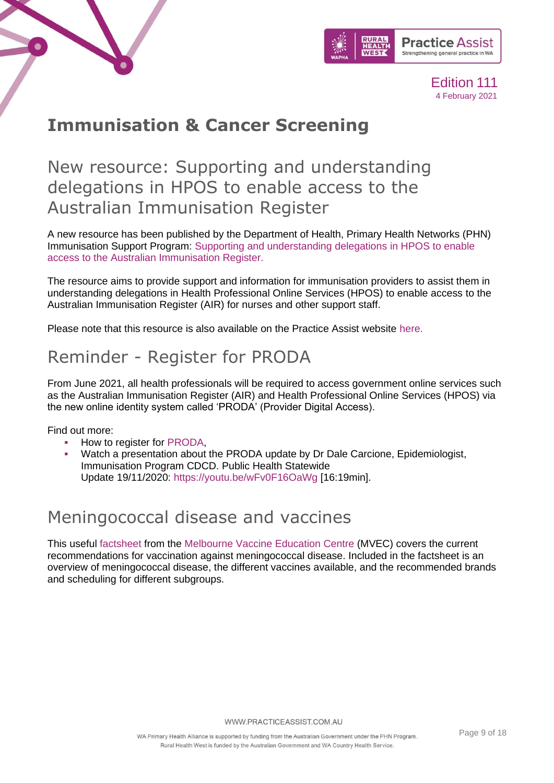



# <span id="page-8-0"></span>**Immunisation & Cancer Screening**

New resource: Supporting and understanding delegations in HPOS to enable access to the Australian Immunisation Register

A new resource has been published by the Department of Health, Primary Health Networks (PHN) Immunisation Support Program: [Supporting and understanding delegations in HPOS to enable](https://www.ncirs.org.au/ncirs-fact-sheets-faqs-and-other-resources/supporting-and-understanding-delegations-hpos-enable?utm_medium=email&utm_campaign=New%20resource%20Supporting%20and%20understanding%20delegations%20in%20HPOS%20to%20enable%20access%20to%20the%20AIR&utm_content=New%20resource%20Supporting%20and%20understanding%20delegations%20in%20HPOS%20to%20enable%20access%20to%20the%20AIR+CID_700ada69d30249750fc2a32185d7d55b&utm_source=eDM&utm_term=View%20resource)  [access to the Australian Immunisation Register.](https://www.ncirs.org.au/ncirs-fact-sheets-faqs-and-other-resources/supporting-and-understanding-delegations-hpos-enable?utm_medium=email&utm_campaign=New%20resource%20Supporting%20and%20understanding%20delegations%20in%20HPOS%20to%20enable%20access%20to%20the%20AIR&utm_content=New%20resource%20Supporting%20and%20understanding%20delegations%20in%20HPOS%20to%20enable%20access%20to%20the%20AIR+CID_700ada69d30249750fc2a32185d7d55b&utm_source=eDM&utm_term=View%20resource)

The resource aims to provide support and information for immunisation providers to assist them in understanding delegations in Health Professional Online Services (HPOS) to enable access to the Australian Immunisation Register (AIR) for nurses and other support staff.

Please note that this resource is also available on the Practice Assist website [here.](https://www.practiceassist.com.au/PracticeAssist/media/ResourceLibrary/Programs%20and%20National%20Schemes/HPOS-Supporting-providers_December-2020_Final_0.pdf)

# Reminder - Register for PRODA

From June 2021, all health professionals will be required to access government online services such as the Australian Immunisation Register (AIR) and Health Professional Online Services (HPOS) via the new online identity system called 'PRODA' (Provider Digital Access).

Find out more:

- How to register for [PRODA,](https://www.servicesaustralia.gov.au/organisations/business/services/proda-provider-digital-access)
- Watch a presentation about the PRODA update by Dr Dale Carcione, Epidemiologist, Immunisation Program CDCD. Public Health Statewide Update 19/11/2020: <https://youtu.be/wFv0F16OaWg> [16:19min].

### Meningococcal disease and vaccines

This useful [factsheet](https://mvec.mcri.edu.au/references/meningococcal-disease-and-vaccines/) from the [Melbourne Vaccine Education Centre](https://mvec.mcri.edu.au/) (MVEC) covers the current recommendations for vaccination against meningococcal disease. Included in the factsheet is an overview of meningococcal disease, the different vaccines available, and the recommended brands and scheduling for different subgroups.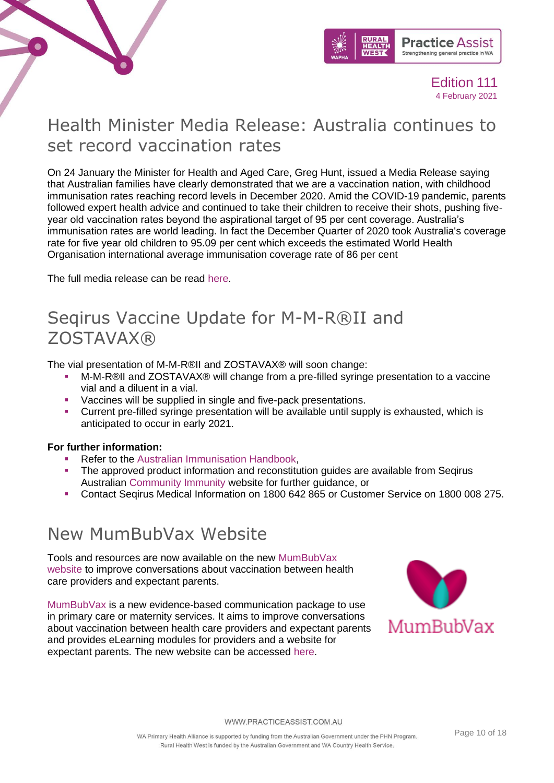



# Health Minister Media Release: Australia continues to set record vaccination rates

On 24 January the Minister for Health and Aged Care, Greg Hunt, issued a Media Release saying that Australian families have clearly demonstrated that we are a vaccination nation, with childhood immunisation rates reaching record levels in December 2020. Amid the COVID-19 pandemic, parents followed expert health advice and continued to take their children to receive their shots, pushing fiveyear old vaccination rates beyond the aspirational target of 95 per cent coverage. Australia's immunisation rates are world leading. In fact the December Quarter of 2020 took Australia's coverage rate for five year old children to 95.09 per cent which exceeds the estimated World Health Organisation international average immunisation coverage rate of 86 per cent

The full media release can be read [here.](https://www.greghunt.com.au/australia-continues-to-set-record-vaccination-rates/)

### Seqirus Vaccine Update for M-M-R®II and ZOSTAVAX®

The vial presentation of M-M-R®II and ZOSTAVAX® will soon change:

- M-M-R®II and ZOSTAVAX® will change from a pre-filled syringe presentation to a vaccine vial and a diluent in a vial.
- Vaccines will be supplied in single and five-pack presentations.
- Current pre-filled syringe presentation will be available until supply is exhausted, which is anticipated to occur in early 2021.

### **For further information:**

- Refer to the [Australian Immunisation Handbook,](https://immunisationhandbook.health.gov.au/)
- **The approved product information and reconstitution guides are available from Seqirus** Australian [Community Immunity](http://www.communityimmunity.com.au/) website for further guidance, or
- Contact Seqirus Medical Information on 1800 642 865 or Customer Service on 1800 008 275.

### New MumBubVax Website

Tools and resources are now available on the new [MumBubVax](https://mumbubvax.org.au/)  [website](https://mumbubvax.org.au/) to improve conversations about vaccination between health care providers and expectant parents.

[MumBubVax](https://mumbubvax.org.au/) is a new evidence-based communication package to use in primary care or maternity services. It aims to improve conversations about vaccination between health care providers and expectant parents and provides eLearning modules for providers and a website for expectant parents. The new website can be accessed [here.](https://mumbubvax.org.au/)

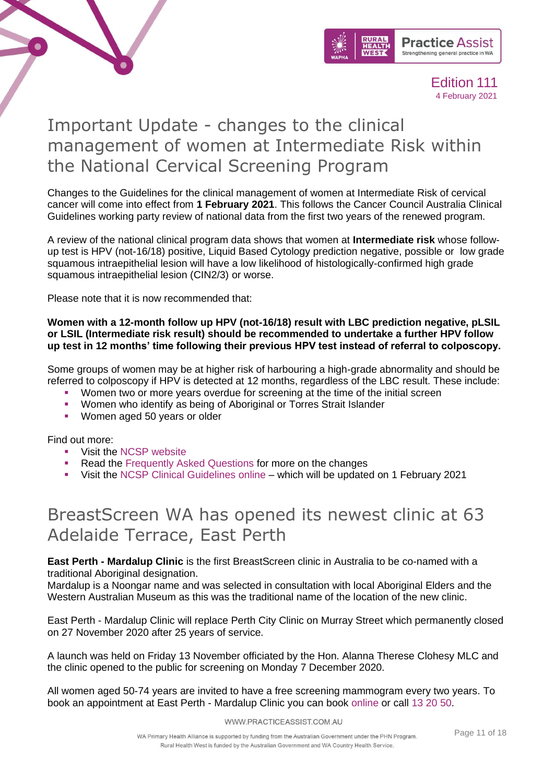

## Important Update - changes to the clinical management of women at Intermediate Risk within the National Cervical Screening Program

Changes to the Guidelines for the clinical management of women at Intermediate Risk of cervical cancer will come into effect from **1 February 2021**. This follows the Cancer Council Australia Clinical Guidelines working party review of national data from the first two years of the renewed program.

A review of the national clinical program data shows that women at **Intermediate risk** whose followup test is HPV (not-16/18) positive, Liquid Based Cytology prediction negative, possible or low grade squamous intraepithelial lesion will have a low likelihood of histologically-confirmed high grade squamous intraepithelial lesion (CIN2/3) or worse.

Please note that it is now recommended that:

### **Women with a 12-month follow up HPV (not-16/18) result with LBC prediction negative, pLSIL or LSIL (Intermediate risk result) should be recommended to undertake a further HPV follow up test in 12 months' time following their previous HPV test instead of referral to colposcopy.**

Some groups of women may be at higher risk of harbouring a high-grade abnormality and should be referred to colposcopy if HPV is detected at 12 months, regardless of the LBC result. These include:

- Women two or more years overdue for screening at the time of the initial screen
- Women who identify as being of Aboriginal or Torres Strait Islander
- Women aged 50 years or older

Find out more:

 $\bullet$ 

- Visit the [NCSP website](https://linkprotect.cudasvc.com/url?a=https%3a%2f%2fwww.health.gov.au%2fnews%2fimportant-changes-to-the-national-cervical-screening-programs-clinical-guidelines-pathway-for-women-at-intermediate-risk&c=E,1,iNiwP7kb0k4QSZSFv8hyJN2snGoMLTl8ISnWIsiBlV9ojXaIHTIeACz6AtSAyqo9Wuu2lVuOfZ3YWq6uHDZ76Ez3EHw7PZLvZ0oSF0oPRTc,&typo=1)
- Read the [Frequently Asked Questions](https://linkprotect.cudasvc.com/url?a=https%3a%2f%2fwww.health.gov.au%2fresources%2fpublications%2fnational-cervical-screening-program-changes-to-the-clinical-management-of-women-at-intermediate-risk-frequently-asked-questions&c=E,1,tZEhiMpoLMj4RcB8PSPFGcAKkctu-J9jCdd92f-UK8UHHH9YtlyQD3sL5_LwEnGKyM0tSHDIQdUBWEjhvf9_3kUTVbFf84PCwhMeEV9SNw,,&typo=1) for more on the changes
- Visit the [NCSP Clinical Guidelines online](https://linkprotect.cudasvc.com/url?a=https%3a%2f%2fwiki.cancer.org.au%2faustralia%2fClinical_question%3aOncogenic_HPV_types_not_16%2f18&c=E,1,kdPJkh3jYF5SMZ3kV_-PQw9tyDQSWU1UnxiCXTlZITtSNAjB65l0hXwMYgR-pBgA8UfXR4wEfBCuYvkvQao0emIh-pTZlUenfQbFwx0_OQ9fILZh3bQQWeqB&typo=1) which will be updated on 1 February 2021

# BreastScreen WA has opened its newest clinic at 63 Adelaide Terrace, East Perth

**East Perth - Mardalup Clinic** is the first BreastScreen clinic in Australia to be co-named with a traditional Aboriginal designation.

Mardalup is a Noongar name and was selected in consultation with local Aboriginal Elders and the Western Australian Museum as this was the traditional name of the location of the new clinic.

East Perth - Mardalup Clinic will replace Perth City Clinic on Murray Street which permanently closed on 27 November 2020 after 25 years of service.

A launch was held on Friday 13 November officiated by the Hon. Alanna Therese Clohesy MLC and the clinic opened to the public for screening on Monday 7 December 2020.

All women aged 50-74 years are invited to have a free screening mammogram every two years. To book an appointment at East Perth - Mardalup Clinic you can book [online](https://www.breastscreen.health.wa.gov.au/Breast-screening/Making-an-appointment/Book-Online) or call [13 20 50.](tel:132050)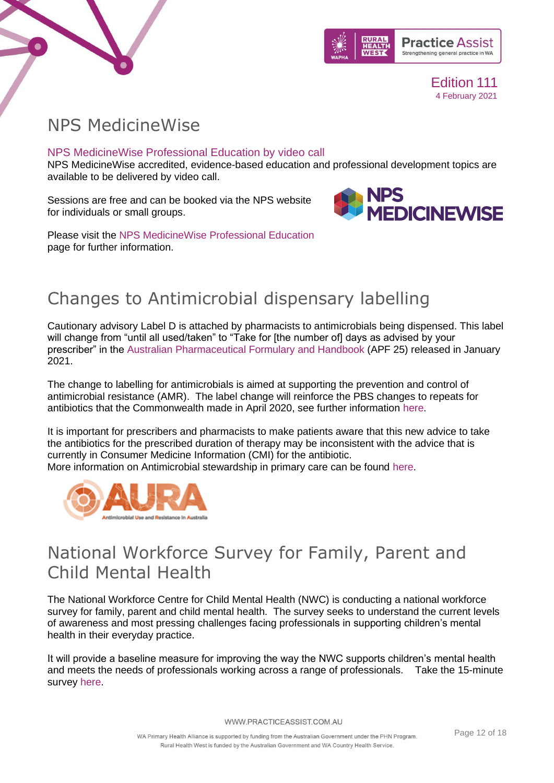



### <span id="page-11-0"></span>NPS MedicineWise

### NPS MedicineWise Professional Education by video call

NPS MedicineWise accredited, evidence-based education and professional development topics are available to be delivered by video call.

Sessions are free and can be booked via the NPS website for individuals or small groups.



Please visit the [NPS MedicineWise Professional Education](https://www.nps.org.au/cpd) page for further information.

# <span id="page-11-1"></span>Changes to Antimicrobial dispensary labelling

Cautionary advisory Label D is attached by pharmacists to antimicrobials being dispensed. This label will change from "until all used/taken" to "Take for [the number of] days as advised by your prescriber" in the [Australian Pharmaceutical Formulary and Handbook](https://www.psa.org.au/media-publications/australian-pharmaceutical-formulary/) (APF 25) released in January 2021.

The change to labelling for antimicrobials is aimed at supporting the prevention and control of antimicrobial resistance (AMR). The label change will reinforce the PBS changes to repeats for antibiotics that the Commonwealth made in April 2020, see further information [here.](https://www.pbs.gov.au/pbs/news/2020/03/revised_pbs_listings_for_antibiotic_use_from_1_april_2020)

It is important for prescribers and pharmacists to make patients aware that this new advice to take the antibiotics for the prescribed duration of therapy may be inconsistent with the advice that is currently in Consumer Medicine Information (CMI) for the antibiotic.

More information on Antimicrobial stewardship in primary care can be found [here.](https://www.safetyandquality.gov.au/our-work/antimicrobial-stewardship/antimicrobial-stewardship-primary-care)



### <span id="page-11-2"></span>National Workforce Survey for Family, Parent and Child Mental Health

The National Workforce Centre for Child Mental Health (NWC) is conducting a national workforce survey for family, parent and child mental health. The survey seeks to understand the current levels of awareness and most pressing challenges facing professionals in supporting children's mental health in their everyday practice.

It will provide a baseline measure for improving the way the NWC supports children's mental health and meets the needs of professionals working across a range of professionals. Take the 15-minute survey [here.](https://survey.zohopublic.com/zs/23CC5C)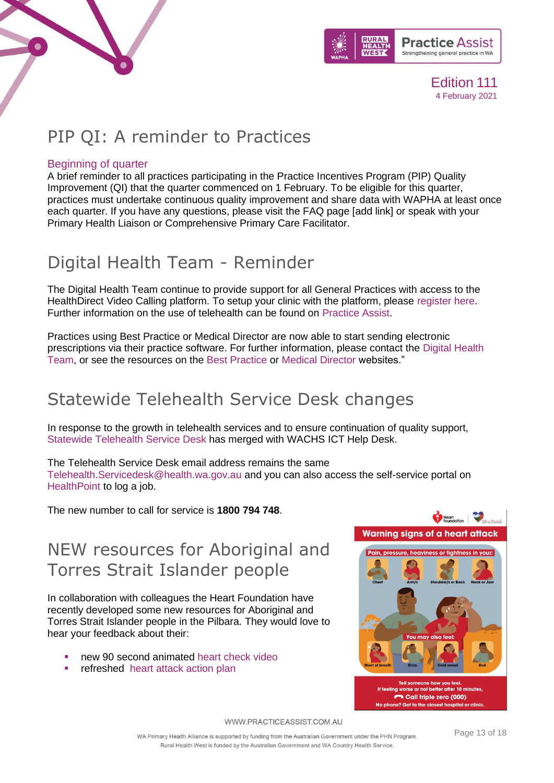



# <span id="page-12-0"></span>PIP QI: A reminder to Practices

### Beginning of quarter

A brief reminder to all practices participating in the Practice Incentives Program (PIP) Quality Improvement (QI) that the quarter commenced on 1 February. To be eligible for this quarter, practices must undertake continuous quality improvement and share data with WAPHA at least once each quarter. If you have any questions, please visit the FAQ page [add link] or speak with your Primary Health Liaison or Comprehensive Primary Care Facilitator.

# <span id="page-12-1"></span>Digital Health Team - Reminder

The Digital Health Team continue to provide support for all General Practices with access to the HealthDirect Video Calling platform. To setup your clinic with the platform, please [register here.](https://www.healthdirect.gov.au/video-call-reg) Further information on the use of telehealth can be found on [Practice Assist.](https://www.practiceassist.com.au/The-Tool-Kit/HealthDirect-Video-Call)

Practices using Best Practice or Medical Director are now able to start sending electronic prescriptions via their practice software. For further information, please contact the [Digital Health](mailto:ehealth@wapha.org.au?subject=ePrescribing)  [Team,](mailto:ehealth@wapha.org.au?subject=ePrescribing) or see the resources on the [Best Practice](https://bpsoftware.net/resources/bp-premier-downloads/) or [Medical Director](https://www.medicaldirector.com/news/clinical-practice/2020/08/eprescribing-faqs) websites."

# <span id="page-12-2"></span>Statewide Telehealth Service Desk changes

In response to the growth in telehealth services and to ensure continuation of quality support, [Statewide Telehealth Service Desk](https://healthywa.wa.gov.au/Articles/S_T/Statewide-Telehealth-Service-STS-Service-Desk) has merged with WACHS ICT Help Desk.

The Telehealth Service Desk email address remains the same

[Telehealth.Servicedesk@health.wa.gov.au](mailto:Telehealth.Servicedesk@health.wa.gov.au) and you can also access the self-service portal on [HealthPoint](https://healthpoint.hdwa.health.wa.gov.au/Pages/default.aspx) to log a job.

The new number to call for service is **1800 794 748**.

# <span id="page-12-3"></span>NEW resources for Aboriginal and Torres Strait Islander people

In collaboration with colleagues the Heart Foundation have recently developed some new resources for Aboriginal and Torres Strait Islander people in the Pilbara. They would love to hear your feedback about their:

- new 90 second animated [heart check video](https://protect-au.mimecast.com/s/_REtCmOxvRCjq1MOu4zrL7?domain=aus01.safelinks.protection.outlook.com)
- refreshed heart attack action plan

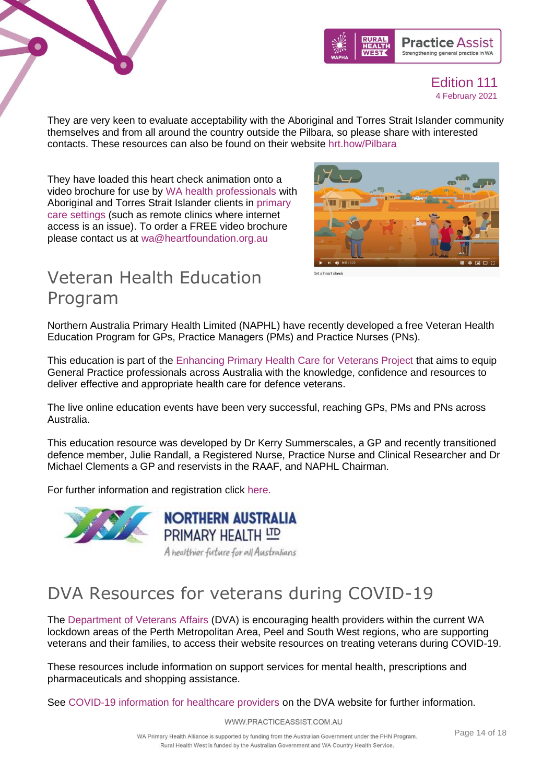



They are very keen to evaluate acceptability with the Aboriginal and Torres Strait Islander community themselves and from all around the country outside the Pilbara, so please share with interested contacts. These resources can also be found on their website [hrt.how/Pilbara](file:///C:/Users/Fiona.Tillotson/AppData/Local/Microsoft/Windows/INetCache/Content.Outlook/G27H4FHP/hrt.how/Pilbara)

They have loaded this heart check animation onto a video brochure for use by WA health professionals with Aboriginal and Torres Strait Islander clients in primary care settings (such as remote clinics where internet access is an issue). To order a FREE video brochure please contact us at [wa@heartfoundation.org.au](mailto:wa@heartfoundation.org.au)



# <span id="page-13-0"></span>Veteran Health Education Program

Northern Australia Primary Health Limited (NAPHL) have recently developed a free Veteran Health Education Program for GPs, Practice Managers (PMs) and Practice Nurses (PNs).

This education is part of the [Enhancing Primary Health Care for Veterans Project](https://us-west-2.protection.sophos.com/?d=naphl.com.au&u=aHR0cHM6Ly93d3cubmFwaGwuY29tLmF1L3ZldGVyYW5z&i=NWRhZDFjMDMxMThkZTcxMTBkNTM4ZTRj&t=TFk2VXJ1ZGZYT21Kc2ZRNnlIVTEyaUQ1NzdHU3dhTFVvdzhuZUZPTEx6az0=&h=cb289c5c3f914e319799f0aaa11b4847) that aims to equip General Practice professionals across Australia with the knowledge, confidence and resources to deliver effective and appropriate health care for defence veterans.

The live online education events have been very successful, reaching GPs, PMs and PNs across Australia.

This education resource was developed by Dr Kerry Summerscales, a GP and recently transitioned defence member, Julie Randall, a Registered Nurse, Practice Nurse and Clinical Researcher and Dr Michael Clements a GP and reservists in the RAAF, and NAPHL Chairman.

For further information and registration click [here.](https://www.naphl.com.au/Event/veteran-health-and-dva-literacy-online-course)





# <span id="page-13-1"></span>DVA Resources for veterans during COVID-19

The [Department of Veterans Affairs](https://www.dva.gov.au/providers/provider-news/treating-wa-veterans-and-their-families-during-coronavirus-pandemic) (DVA) is encouraging health providers within the current WA lockdown areas of the Perth Metropolitan Area, Peel and South West regions, who are supporting veterans and their families, to access their website resources on treating veterans during COVID-19.

These resources include information on support services for mental health, prescriptions and pharmaceuticals and shopping assistance.

See [COVID-19 information for healthcare providers](https://www.dva.gov.au/providers/provider-news/treating-wa-veterans-and-their-families-during-coronavirus-pandemic) on the DVA website for further information.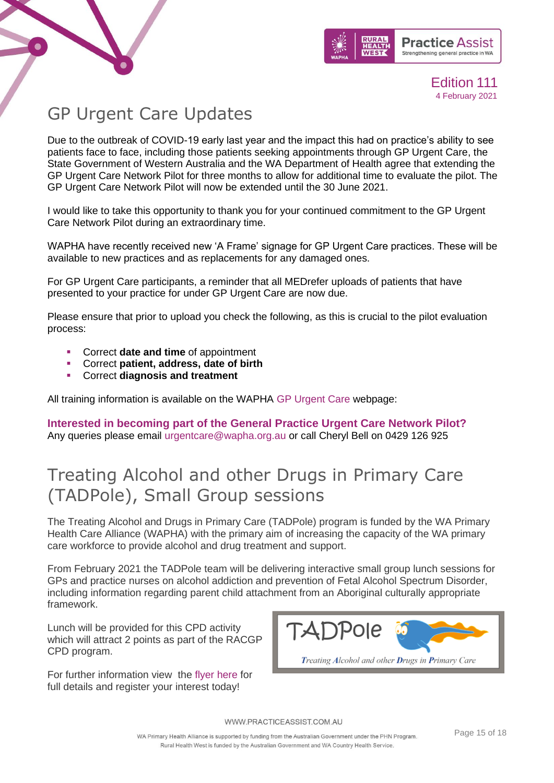



# <span id="page-14-0"></span>GP Urgent Care Updates

Due to the outbreak of COVID-19 early last year and the impact this had on practice's ability to see patients face to face, including those patients seeking appointments through GP Urgent Care, the State Government of Western Australia and the WA Department of Health agree that extending the GP Urgent Care Network Pilot for three months to allow for additional time to evaluate the pilot. The GP Urgent Care Network Pilot will now be extended until the 30 June 2021.

I would like to take this opportunity to thank you for your continued commitment to the GP Urgent Care Network Pilot during an extraordinary time.

WAPHA have recently received new 'A Frame' signage for GP Urgent Care practices. These will be available to new practices and as replacements for any damaged ones.

For GP Urgent Care participants, a reminder that all MEDrefer uploads of patients that have presented to your practice for under GP Urgent Care are now due.

Please ensure that prior to upload you check the following, as this is crucial to the pilot evaluation process:

- Correct **date and time** of appointment
- Correct **patient, address, date of birth**
- Correct **diagnosis and treatment**

All training information is available on the WAPHA [GP Urgent Care](https://www.wapha.org.au/health-professionals/gp-urgent-care/) webpage:

**Interested in becoming part of the General Practice Urgent Care Network Pilot?** Any queries please email [urgentcare@wapha.org.au](mailto:urgentcare@wapha.org.au) or call Cheryl Bell on 0429 126 925

# <span id="page-14-1"></span>Treating Alcohol and other Drugs in Primary Care (TADPole), Small Group sessions

The Treating Alcohol and Drugs in Primary Care (TADPole) program is funded by the WA Primary Health Care Alliance (WAPHA) with the primary aim of increasing the capacity of the WA primary care workforce to provide alcohol and drug treatment and support.

From February 2021 the TADPole team will be delivering interactive small group lunch sessions for GPs and practice nurses on alcohol addiction and prevention of Fetal Alcohol Spectrum Disorder, including information regarding parent child attachment from an Aboriginal culturally appropriate framework.

Lunch will be provided for this CPD activity which will attract 2 points as part of the RACGP CPD program.

For further information view the [flyer here](https://www.practiceassist.com.au/PracticeAssist/media/Practice-Connect/Aboriginal-Small-Group-Alcohol-Flyer.pdf) for full details and register your interest today!

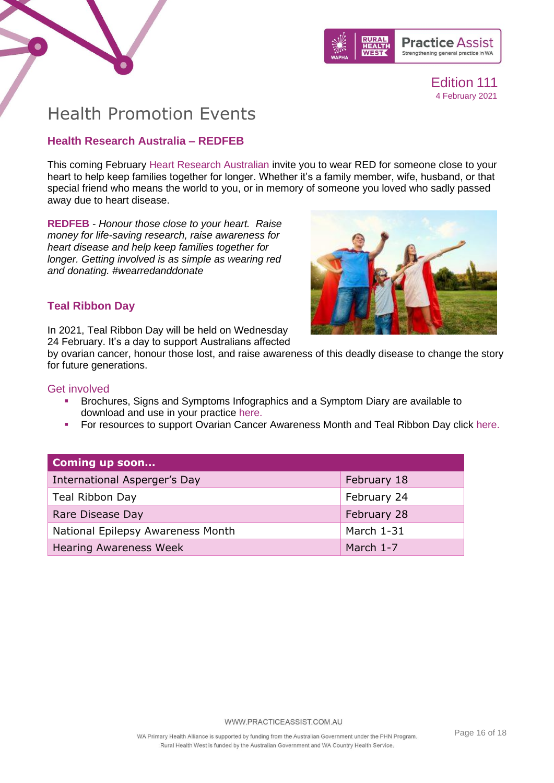



### <span id="page-15-0"></span>Health Promotion Events

### **Health Research Australia – REDFEB**

This coming February [Heart Research Australian](https://www.heartresearch.com.au/) invite you to wear RED for someone close to your heart to help keep families together for longer. Whether it's a family member, wife, husband, or that special friend who means the world to you, or in memory of someone you loved who sadly passed away due to heart disease.

**[REDFEB](https://www.heartresearch.com.au/wrd/)** *- Honour those close to your heart. Raise money for life-saving research, raise awareness for heart disease and help keep families together for longer. Getting involved is as simple as wearing red and donating. #wearredanddonate*



### **Teal Ribbon Day**

In 2021, Teal Ribbon Day will be held on Wednesday 24 February. It's a day to support Australians affected

by ovarian cancer, honour those lost, and raise awareness of this deadly disease to change the story for future generations.

### Get involved

- Brochures, Signs and Symptoms Infographics and a Symptom Diary are available to download and use in your practice [here.](https://www.ovariancancer.net.au/page/134/signs-and-symptoms)
- For resources to support Ovarian Cancer Awareness Month and Teal Ribbon Day click [here.](https://www.ovariancancer.net.au/page/153/awareness-resources)

| Coming up soon                    |             |
|-----------------------------------|-------------|
| International Asperger's Day      | February 18 |
| Teal Ribbon Day                   | February 24 |
| Rare Disease Day                  | February 28 |
| National Epilepsy Awareness Month | March 1-31  |
| <b>Hearing Awareness Week</b>     | March 1-7   |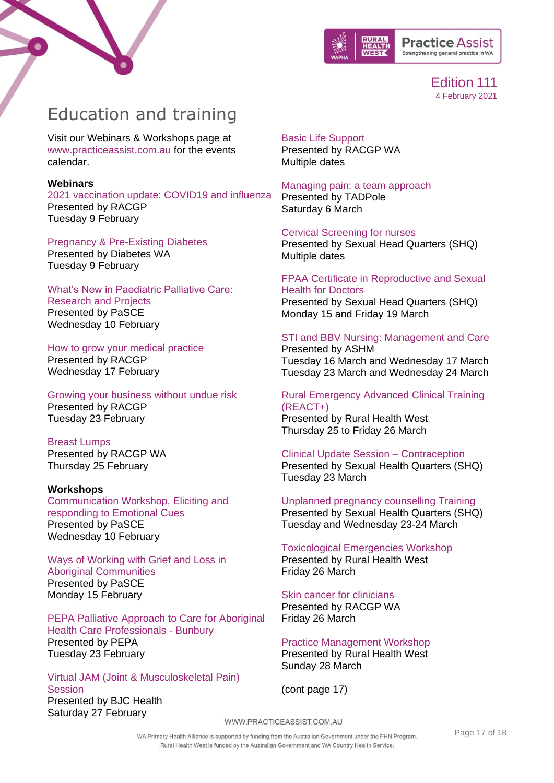



# <span id="page-16-0"></span>Education and training

Visit our Webinars & Workshops page at [www.practiceassist.com.au](http://www.practiceassist.com.au/) for the events calendar.

#### **Webinars**

[2021 vaccination update: COVID19 and influenza](https://www.racgp.org.au/racgp-digital-events-calendar/online-event-items/webinars/2021-vaccination-update-covid19-and-influenza) [Presented by RACGP](https://www.racgp.org.au/racgp-digital-events-calendar/online-event-items/webinars/2021-vaccination-update-covid19-and-influenza)  [Tuesday 9 February](https://www.racgp.org.au/racgp-digital-events-calendar/online-event-items/webinars/2021-vaccination-update-covid19-and-influenza)

### [Pregnancy & Pre-Existing Diabetes](https://members.diabeteswa.com.au/event/sessions?id=Online_Health_Professional_Diabetes_Upskilling3391693137) [Presented by Diabetes WA](https://members.diabeteswa.com.au/event/sessions?id=Online_Health_Professional_Diabetes_Upskilling3391693137)

[Tuesday 9 February](https://members.diabeteswa.com.au/event/sessions?id=Online_Health_Professional_Diabetes_Upskilling3391693137)

### [What's New in Paediatric Palliative Care:](https://www.cancerwa.asn.au/articles/calendar-health-professional-training-seminars-and/whats-new-in-paediatric-palliative-care-research-a/)

[Research and Projects](https://www.cancerwa.asn.au/articles/calendar-health-professional-training-seminars-and/whats-new-in-paediatric-palliative-care-research-a/) [Presented by PaSCE](https://www.cancerwa.asn.au/articles/calendar-health-professional-training-seminars-and/whats-new-in-paediatric-palliative-care-research-a/)  [Wednesday 10 February](https://www.cancerwa.asn.au/articles/calendar-health-professional-training-seminars-and/whats-new-in-paediatric-palliative-care-research-a/)

### [How to grow your medical practice](https://www.racgp.org.au/racgp-digital-events-calendar/online-event-items/webinars/how-to-grow-your-medical-practice-and-move-into-mu)

[Presented by RACGP](https://www.racgp.org.au/racgp-digital-events-calendar/online-event-items/webinars/how-to-grow-your-medical-practice-and-move-into-mu) [Wednesday 17 February](https://www.racgp.org.au/racgp-digital-events-calendar/online-event-items/webinars/how-to-grow-your-medical-practice-and-move-into-mu)

[Growing your business without undue risk](https://www.racgp.org.au/racgp-digital-events-calendar/online-event-items/webinars/growing-your-business-without-undue-risk)  [Presented by RACGP](https://www.racgp.org.au/racgp-digital-events-calendar/online-event-items/webinars/growing-your-business-without-undue-risk)  [Tuesday 23 February](https://www.racgp.org.au/racgp-digital-events-calendar/online-event-items/webinars/growing-your-business-without-undue-risk) 

### [Breast Lumps](https://www.racgp.org.au/racgp-digital-events-calendar/online-event-items/webinars/breast-lumps)

[Presented by RACGP WA](https://www.racgp.org.au/racgp-digital-events-calendar/online-event-items/webinars/breast-lumps) [Thursday 25 February](https://www.racgp.org.au/racgp-digital-events-calendar/online-event-items/webinars/breast-lumps) 

### **Workshops**

[Communication Workshop, Eliciting and](https://www.cancerwa.asn.au/articles/calendar-health-professional-training-seminars-and/communication-workshop-eliciting-and-responding-to/)  [responding to Emotional Cues](https://www.cancerwa.asn.au/articles/calendar-health-professional-training-seminars-and/communication-workshop-eliciting-and-responding-to/) [Presented by PaSCE](https://www.cancerwa.asn.au/articles/calendar-health-professional-training-seminars-and/communication-workshop-eliciting-and-responding-to/)  [Wednesday 10 February](https://www.cancerwa.asn.au/articles/calendar-health-professional-training-seminars-and/communication-workshop-eliciting-and-responding-to/)

### [Ways of Working with Grief and Loss in](https://www.cancerwa.asn.au/articles/calendar-health-professional-training-seminars-and/ways-of-working-with-grief-and-loss-in-aboriginal--2/)  [Aboriginal Communities](https://www.cancerwa.asn.au/articles/calendar-health-professional-training-seminars-and/ways-of-working-with-grief-and-loss-in-aboriginal--2/)  [Presented by PaSCE](https://www.cancerwa.asn.au/articles/calendar-health-professional-training-seminars-and/ways-of-working-with-grief-and-loss-in-aboriginal--2/)  [Monday 15 February](https://www.cancerwa.asn.au/articles/calendar-health-professional-training-seminars-and/ways-of-working-with-grief-and-loss-in-aboriginal--2/)

[PEPA Palliative Approach to Care for Aboriginal](https://www.cancerwa.asn.au/articles/calendar-health-professional-training-seminars-and/pepa-palliative-approach-to-care-for-aboriginal-he/)  [Health Care Professionals -](https://www.cancerwa.asn.au/articles/calendar-health-professional-training-seminars-and/pepa-palliative-approach-to-care-for-aboriginal-he/) Bunbury [Presented by PEPA](https://www.cancerwa.asn.au/articles/calendar-health-professional-training-seminars-and/pepa-palliative-approach-to-care-for-aboriginal-he/) [Tuesday 23 February](https://www.cancerwa.asn.au/articles/calendar-health-professional-training-seminars-and/pepa-palliative-approach-to-care-for-aboriginal-he/)

### [Virtual JAM \(Joint & Musculoskeletal Pain\)](https://www.bjchealth.com.au/jam)  **[Session](https://www.bjchealth.com.au/jam)** [Presented by BJC Health](https://www.bjchealth.com.au/jam) [Saturday 27 February](https://www.bjchealth.com.au/jam)

### [Basic Life Support](https://www.racgp.org.au/education/courses/racgpevents/wa/)

[Presented by RACGP WA](https://www.racgp.org.au/education/courses/racgpevents/wa/)  [Multiple dates](https://www.racgp.org.au/education/courses/racgpevents/wa/)

### [Managing pain: a team approach](https://www.practiceassist.com.au/PracticeAssist/media/Practice-Connect/Pain-Event-6-March-2021-(2).pdf)

[Presented by TADPole](https://www.practiceassist.com.au/PracticeAssist/media/Practice-Connect/Pain-Event-6-March-2021-(2).pdf) [Saturday 6 March](https://www.practiceassist.com.au/PracticeAssist/media/Practice-Connect/Pain-Event-6-March-2021-(2).pdf)

### [Cervical Screening for nurses](https://shq.org.au/course/certificate-nursing-cervical-screening-only/)

Presented by Sexual Head Quarters (SHQ) Multiple dates

#### [FPAA Certificate in Reproductive and Sexual](https://shq.org.au/course/doctors-certificate/)  [Health for Doctors](https://shq.org.au/course/doctors-certificate/)

Presented by Sexual Head Quarters (SHQ) Monday 15 and Friday 19 March

### [STI and BBV Nursing: Management and Care](https://ashm.org.au/eventinforeg2/?id=95cf1a1f-d040-eb11-a813-000d3ae15585)

[Presented by ASHM](https://ashm.org.au/eventinforeg2/?id=95cf1a1f-d040-eb11-a813-000d3ae15585) [Tuesday 16 March and Wednesday 17 March](https://ashm.org.au/eventinforeg2/?id=95cf1a1f-d040-eb11-a813-000d3ae15585) [Tuesday 23 March and Wednesday 24 March](https://ashm.org.au/eventinforeg2/?id=95cf1a1f-d040-eb11-a813-000d3ae15585)

### [Rural Emergency Advanced Clinical Training](https://www.ruralhealthwest.com.au/general-practice/professional-development/conferences-events/2021/03/25/default-calendar/rural-emergency-advanced-clinical-training-(react-)---perth)  [\(REACT+\)](https://www.ruralhealthwest.com.au/general-practice/professional-development/conferences-events/2021/03/25/default-calendar/rural-emergency-advanced-clinical-training-(react-)---perth)

[Presented by Rural Health West](https://www.ruralhealthwest.com.au/general-practice/professional-development/conferences-events/2021/03/25/default-calendar/rural-emergency-advanced-clinical-training-(react-)---perth) [Thursday 25 to Friday 26 March](https://www.ruralhealthwest.com.au/general-practice/professional-development/conferences-events/2021/03/25/default-calendar/rural-emergency-advanced-clinical-training-(react-)---perth)

[Clinical Update Session –](https://shq.org.au/course/clinical-update-contraception/) Contraception Presented by Sexual Health Quarters (SHQ) Tuesday 23 March

[Unplanned pregnancy counselling Training](https://shq.org.au/course/clinical-update-session-unplanned-pregnancy/) Presented by Sexual Health Quarters (SHQ) Tuesday and Wednesday 23-24 March

### [Toxicological Emergencies Workshop](https://www.ruralhealthwest.com.au/general-practice/professional-development/conferences-events/2021/03/26/default-calendar/toxicological-emergencies-(tox)---perth) [Presented by Rural Health West](https://www.ruralhealthwest.com.au/general-practice/professional-development/conferences-events/2021/03/26/default-calendar/toxicological-emergencies-(tox)---perth) [Friday 26 March](https://www.ruralhealthwest.com.au/general-practice/professional-development/conferences-events/2021/03/26/default-calendar/toxicological-emergencies-(tox)---perth)

### [Skin cancer for clinicians](https://www.racgp.org.au/FSDEDEV/media/Faculty-Events/WA2021_35.pdf)

Presented by RACGP WA Friday 26 March

#### [Practice Management Workshop](https://ruralhealthwest.eventsair.com/2021-wa-rhc/practice-management-workshop) [Presented by Rural Health West](https://ruralhealthwest.eventsair.com/2021-wa-rhc/practice-management-workshop) [Sunday 28 March](https://ruralhealthwest.eventsair.com/2021-wa-rhc/practice-management-workshop)

(cont page 17)

WWW.PRACTICEASSIST.COM.AU

WA Primary Health Alliance is supported by funding from the Australian Government under the PHN Program. Rural Health West is funded by the Australian Government and WA Country Health Service.